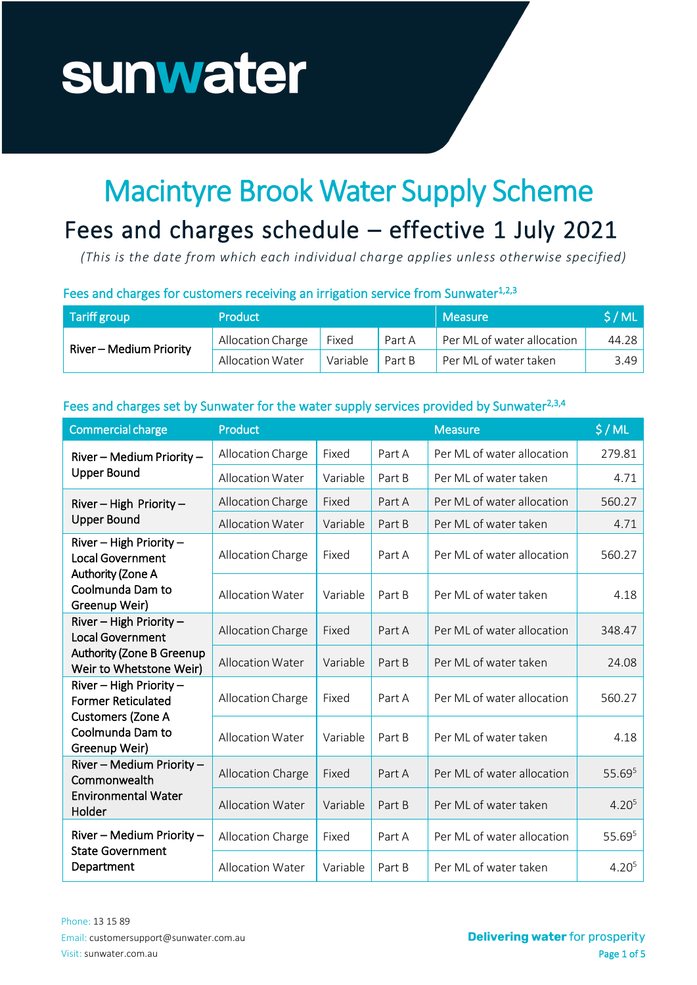# sunwater

## Macintyre Brook Water Supply Scheme

### Fees and charges schedule - effective 1 July 2021

*(This is the date from which each individual charge applies unless otherwise specified)*

#### Fees and charges for customers receiving an irrigation service from Sunwater<sup>1,2,3</sup>

| Tariff group            | <b>Product</b>    |          |        | <b>Measure</b>             | S/ML  |
|-------------------------|-------------------|----------|--------|----------------------------|-------|
| River - Medium Priority | Allocation Charge | Fixed    | Part A | Per ML of water allocation | 44.28 |
|                         | Allocation Water  | Variable | Part B | Per ML of water taken      | 3.49  |

#### Fees and charges set by Sunwater for the water supply services provided by Sunwater<sup>2,3,4</sup>

| <b>Commercial charge</b>                                                                                     | Product                 |          |        | <b>Measure</b>             | \$/ML             |
|--------------------------------------------------------------------------------------------------------------|-------------------------|----------|--------|----------------------------|-------------------|
| River - Medium Priority -<br><b>Upper Bound</b>                                                              | Allocation Charge       | Fixed    | Part A | Per ML of water allocation | 279.81            |
|                                                                                                              | <b>Allocation Water</b> | Variable | Part B | Per ML of water taken      | 4.71              |
| River - High Priority -<br><b>Upper Bound</b>                                                                | Allocation Charge       | Fixed    | Part A | Per ML of water allocation | 560.27            |
|                                                                                                              | <b>Allocation Water</b> | Variable | Part B | Per ML of water taken      | 4.71              |
| River - High Priority -<br><b>Local Government</b><br>Authority (Zone A<br>Coolmunda Dam to<br>Greenup Weir) | Allocation Charge       | Fixed    | Part A | Per ML of water allocation | 560.27            |
|                                                                                                              | <b>Allocation Water</b> | Variable | Part B | Per ML of water taken      | 4.18              |
| River - High Priority -<br><b>Local Government</b>                                                           | Allocation Charge       | Fixed    | Part A | Per ML of water allocation | 348.47            |
| <b>Authority (Zone B Greenup</b><br>Weir to Whetstone Weir)                                                  | <b>Allocation Water</b> | Variable | Part B | Per ML of water taken      | 24.08             |
| River - High Priority -<br><b>Former Reticulated</b><br><b>Customers (Zone A</b>                             | Allocation Charge       | Fixed    | Part A | Per ML of water allocation | 560.27            |
| Coolmunda Dam to<br>Greenup Weir)                                                                            | <b>Allocation Water</b> | Variable | Part B | Per ML of water taken      | 4.18              |
| River - Medium Priority -<br>Commonwealth<br><b>Environmental Water</b><br>Holder                            | Allocation Charge       | Fixed    | Part A | Per ML of water allocation | 55.695            |
|                                                                                                              | <b>Allocation Water</b> | Variable | Part B | Per ML of water taken      | 4.20 <sup>5</sup> |
| River - Medium Priority -<br><b>State Government</b><br>Department                                           | Allocation Charge       | Fixed    | Part A | Per ML of water allocation | 55.695            |
|                                                                                                              | <b>Allocation Water</b> | Variable | Part B | Per ML of water taken      | 4.20 <sup>5</sup> |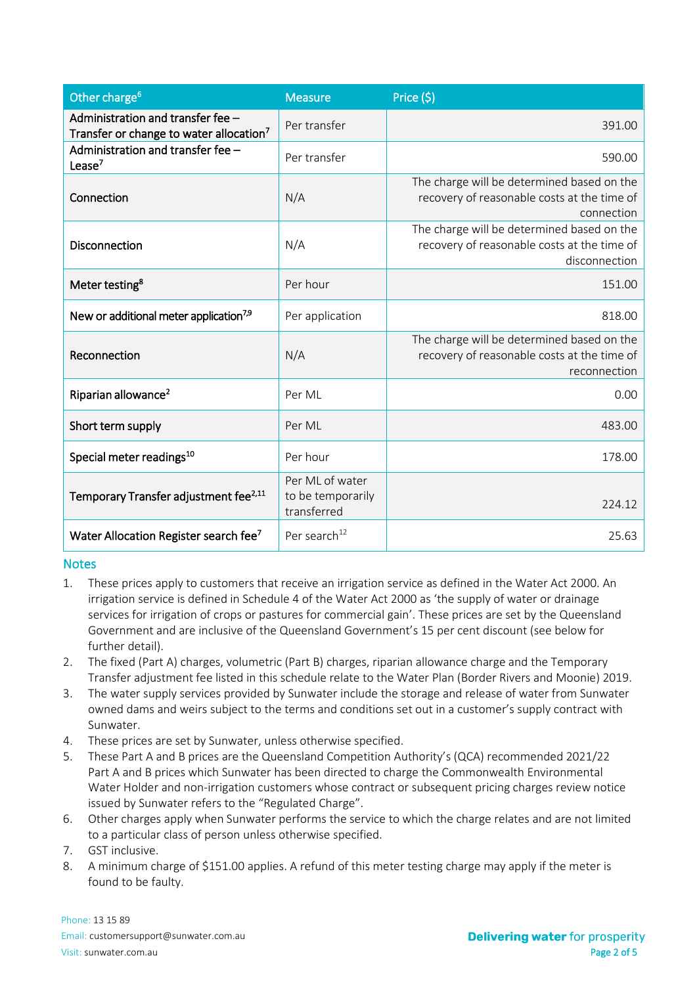| Other charge <sup>6</sup>                                                                | <b>Measure</b>                                      | Price (\$)                                                                                                 |
|------------------------------------------------------------------------------------------|-----------------------------------------------------|------------------------------------------------------------------------------------------------------------|
| Administration and transfer fee -<br>Transfer or change to water allocation <sup>7</sup> | Per transfer                                        | 391.00                                                                                                     |
| Administration and transfer fee -<br>Lease $7$                                           | Per transfer                                        | 590.00                                                                                                     |
| Connection                                                                               | N/A                                                 | The charge will be determined based on the<br>recovery of reasonable costs at the time of<br>connection    |
| <b>Disconnection</b>                                                                     | N/A                                                 | The charge will be determined based on the<br>recovery of reasonable costs at the time of<br>disconnection |
| Meter testing <sup>8</sup>                                                               | Per hour                                            | 151.00                                                                                                     |
| New or additional meter application <sup>7,9</sup>                                       | Per application                                     | 818.00                                                                                                     |
| Reconnection                                                                             | N/A                                                 | The charge will be determined based on the<br>recovery of reasonable costs at the time of<br>reconnection  |
| Riparian allowance <sup>2</sup>                                                          | Per ML                                              | 0.00                                                                                                       |
| Short term supply                                                                        | Per ML                                              | 483.00                                                                                                     |
| Special meter readings <sup>10</sup>                                                     | Per hour                                            | 178.00                                                                                                     |
| Temporary Transfer adjustment fee <sup>2,11</sup>                                        | Per ML of water<br>to be temporarily<br>transferred | 224.12                                                                                                     |
| Water Allocation Register search fee <sup>7</sup>                                        | Per search <sup>12</sup>                            | 25.63                                                                                                      |

#### **Notes**

- 1. These prices apply to customers that receive an irrigation service as defined in the Water Act 2000. An irrigation service is defined in Schedule 4 of the Water Act 2000 as 'the supply of water or drainage services for irrigation of crops or pastures for commercial gain'. These prices are set by the Queensland Government and are inclusive of the Queensland Government's 15 per cent discount (see below for further detail).
- 2. The fixed (Part A) charges, volumetric (Part B) charges, riparian allowance charge and the Temporary Transfer adjustment fee listed in this schedule relate to the Water Plan (Border Rivers and Moonie) 2019.
- 3. The water supply services provided by Sunwater include the storage and release of water from Sunwater owned dams and weirs subject to the terms and conditions set out in a customer's supply contract with Sunwater.
- 4. These prices are set by Sunwater, unless otherwise specified.
- 5. These Part A and B prices are the Queensland Competition Authority's (QCA) recommended 2021/22 Part A and B prices which Sunwater has been directed to charge the Commonwealth Environmental Water Holder and non-irrigation customers whose contract or subsequent pricing charges review notice issued by Sunwater refers to the "Regulated Charge".
- 6. Other charges apply when Sunwater performs the service to which the charge relates and are not limited to a particular class of person unless otherwise specified.
- 7. GST inclusive.
- 8. A minimum charge of \$151.00 applies. A refund of this meter testing charge may apply if the meter is found to be faulty.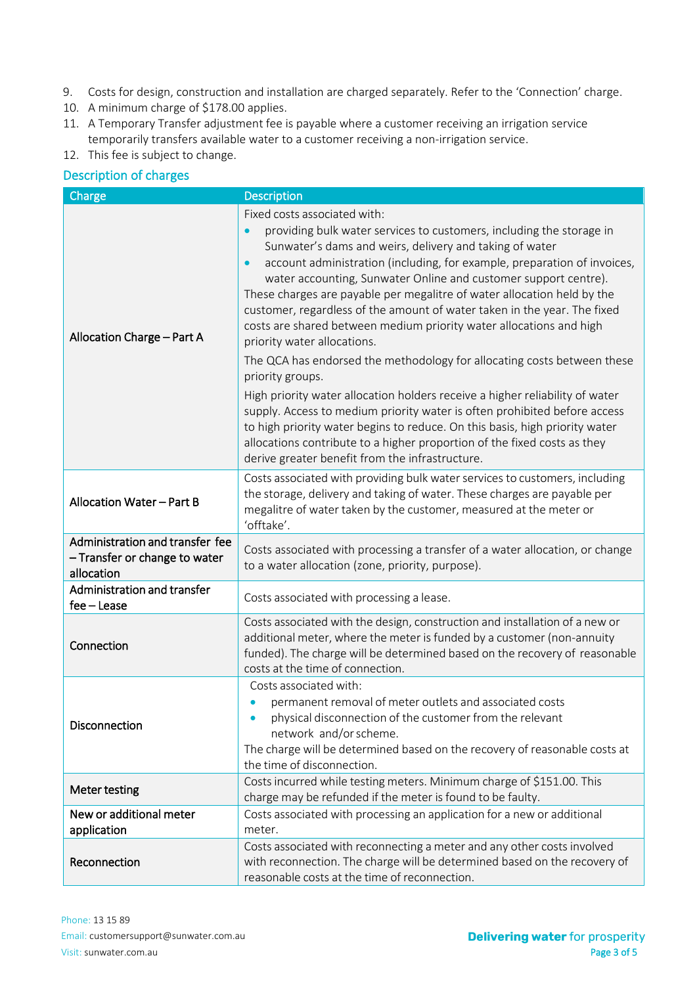- 9. Costs for design, construction and installation are charged separately. Refer to the 'Connection' charge.
- 10. A minimum charge of \$178.00 applies.
- 11. A Temporary Transfer adjustment fee is payable where a customer receiving an irrigation service temporarily transfers available water to a customer receiving a non-irrigation service.
- 12. This fee is subject to change.

#### Description of charges

| Charge                                                                         | <b>Description</b>                                                                                                                                                                                                                                                                                                                                                                                                                                                                                                                                                                                                                                                                                                                                                                                                                                                                                                                                                                                                                                    |
|--------------------------------------------------------------------------------|-------------------------------------------------------------------------------------------------------------------------------------------------------------------------------------------------------------------------------------------------------------------------------------------------------------------------------------------------------------------------------------------------------------------------------------------------------------------------------------------------------------------------------------------------------------------------------------------------------------------------------------------------------------------------------------------------------------------------------------------------------------------------------------------------------------------------------------------------------------------------------------------------------------------------------------------------------------------------------------------------------------------------------------------------------|
| Allocation Charge - Part A                                                     | Fixed costs associated with:<br>providing bulk water services to customers, including the storage in<br>Sunwater's dams and weirs, delivery and taking of water<br>account administration (including, for example, preparation of invoices,<br>water accounting, Sunwater Online and customer support centre).<br>These charges are payable per megalitre of water allocation held by the<br>customer, regardless of the amount of water taken in the year. The fixed<br>costs are shared between medium priority water allocations and high<br>priority water allocations.<br>The QCA has endorsed the methodology for allocating costs between these<br>priority groups.<br>High priority water allocation holders receive a higher reliability of water<br>supply. Access to medium priority water is often prohibited before access<br>to high priority water begins to reduce. On this basis, high priority water<br>allocations contribute to a higher proportion of the fixed costs as they<br>derive greater benefit from the infrastructure. |
| Allocation Water - Part B                                                      | Costs associated with providing bulk water services to customers, including<br>the storage, delivery and taking of water. These charges are payable per<br>megalitre of water taken by the customer, measured at the meter or<br>'offtake'.                                                                                                                                                                                                                                                                                                                                                                                                                                                                                                                                                                                                                                                                                                                                                                                                           |
| Administration and transfer fee<br>- Transfer or change to water<br>allocation | Costs associated with processing a transfer of a water allocation, or change<br>to a water allocation (zone, priority, purpose).                                                                                                                                                                                                                                                                                                                                                                                                                                                                                                                                                                                                                                                                                                                                                                                                                                                                                                                      |
| Administration and transfer<br>fee - Lease                                     | Costs associated with processing a lease.                                                                                                                                                                                                                                                                                                                                                                                                                                                                                                                                                                                                                                                                                                                                                                                                                                                                                                                                                                                                             |
| Connection                                                                     | Costs associated with the design, construction and installation of a new or<br>additional meter, where the meter is funded by a customer (non-annuity<br>funded). The charge will be determined based on the recovery of reasonable<br>costs at the time of connection.                                                                                                                                                                                                                                                                                                                                                                                                                                                                                                                                                                                                                                                                                                                                                                               |
| Disconnection                                                                  | Costs associated with:<br>permanent removal of meter outlets and associated costs<br>physical disconnection of the customer from the relevant<br>$\bullet$<br>network and/or scheme.<br>The charge will be determined based on the recovery of reasonable costs at<br>the time of disconnection.                                                                                                                                                                                                                                                                                                                                                                                                                                                                                                                                                                                                                                                                                                                                                      |
| Meter testing                                                                  | Costs incurred while testing meters. Minimum charge of \$151.00. This<br>charge may be refunded if the meter is found to be faulty.                                                                                                                                                                                                                                                                                                                                                                                                                                                                                                                                                                                                                                                                                                                                                                                                                                                                                                                   |
| New or additional meter<br>application                                         | Costs associated with processing an application for a new or additional<br>meter.                                                                                                                                                                                                                                                                                                                                                                                                                                                                                                                                                                                                                                                                                                                                                                                                                                                                                                                                                                     |
| Reconnection                                                                   | Costs associated with reconnecting a meter and any other costs involved<br>with reconnection. The charge will be determined based on the recovery of<br>reasonable costs at the time of reconnection.                                                                                                                                                                                                                                                                                                                                                                                                                                                                                                                                                                                                                                                                                                                                                                                                                                                 |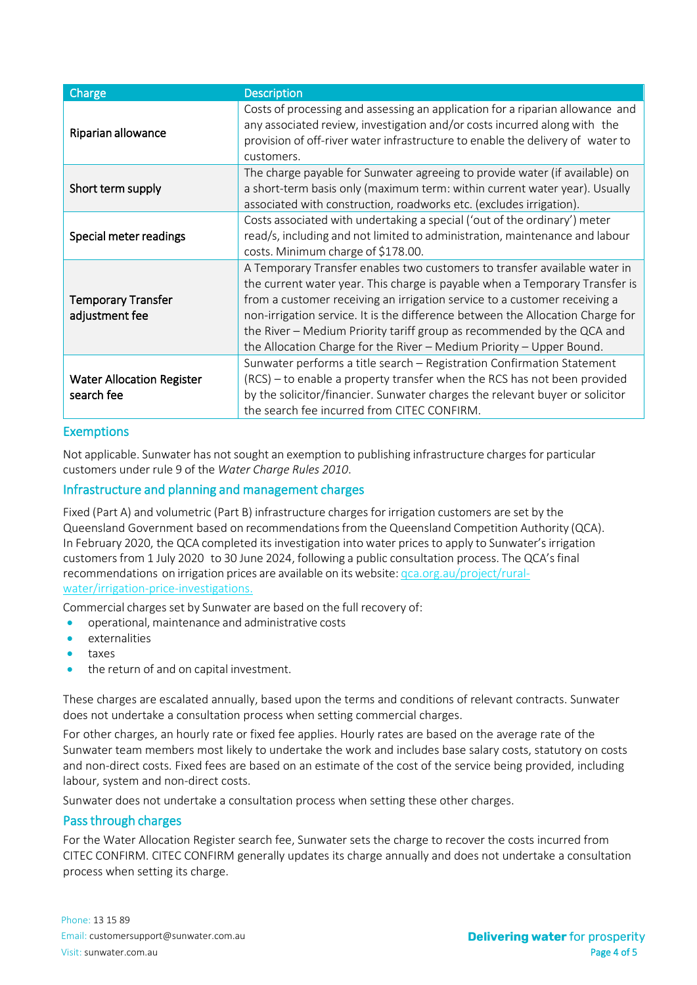| Charge                                         | <b>Description</b>                                                                                                                                                                                                                                                                                                                                                                                                                                                        |
|------------------------------------------------|---------------------------------------------------------------------------------------------------------------------------------------------------------------------------------------------------------------------------------------------------------------------------------------------------------------------------------------------------------------------------------------------------------------------------------------------------------------------------|
| Riparian allowance                             | Costs of processing and assessing an application for a riparian allowance and<br>any associated review, investigation and/or costs incurred along with the<br>provision of off-river water infrastructure to enable the delivery of water to<br>customers.                                                                                                                                                                                                                |
| Short term supply                              | The charge payable for Sunwater agreeing to provide water (if available) on<br>a short-term basis only (maximum term: within current water year). Usually<br>associated with construction, roadworks etc. (excludes irrigation).                                                                                                                                                                                                                                          |
| Special meter readings                         | Costs associated with undertaking a special ('out of the ordinary') meter<br>read/s, including and not limited to administration, maintenance and labour<br>costs. Minimum charge of \$178.00.                                                                                                                                                                                                                                                                            |
| <b>Temporary Transfer</b><br>adjustment fee    | A Temporary Transfer enables two customers to transfer available water in<br>the current water year. This charge is payable when a Temporary Transfer is<br>from a customer receiving an irrigation service to a customer receiving a<br>non-irrigation service. It is the difference between the Allocation Charge for<br>the River - Medium Priority tariff group as recommended by the QCA and<br>the Allocation Charge for the River - Medium Priority - Upper Bound. |
| <b>Water Allocation Register</b><br>search fee | Sunwater performs a title search - Registration Confirmation Statement<br>(RCS) – to enable a property transfer when the RCS has not been provided<br>by the solicitor/financier. Sunwater charges the relevant buyer or solicitor<br>the search fee incurred from CITEC CONFIRM.                                                                                                                                                                                         |

#### Exemptions

Not applicable. Sunwater has not sought an exemption to publishing infrastructure charges for particular customers under rule 9 of the *Water Charge Rules 2010*.

#### Infrastructure and planning and management charges

Fixed (Part A) and volumetric (Part B) infrastructure charges for irrigation customers are set by the Queensland Government based on recommendations from the Queensland Competition Authority (QCA). In February 2020, the QCA completed its investigation into water prices to apply to Sunwater's irrigation customersfrom 1 July 2020 to 30 June 2024, following a public consultation process. The QCA'sfinal recommendations on irrigation prices are available on its website: qca.org.au/project/ruralwater/irrigation-price-investigations.

Commercial charges set by Sunwater are based on the full recovery of:

- operational, maintenance and administrative costs
- externalities
- taxes
- the return of and on capital investment.

These charges are escalated annually, based upon the terms and conditions of relevant contracts. Sunwater does not undertake a consultation process when setting commercial charges.

For other charges, an hourly rate or fixed fee applies. Hourly rates are based on the average rate of the Sunwater team members most likely to undertake the work and includes base salary costs, statutory on costs and non-direct costs. Fixed fees are based on an estimate of the cost of the service being provided, including labour, system and non-direct costs.

Sunwater does not undertake a consultation process when setting these other charges.

#### Pass through charges

For the Water Allocation Register search fee, Sunwater sets the charge to recover the costs incurred from CITEC CONFIRM. CITEC CONFIRM generally updates its charge annually and does not undertake a consultation process when setting its charge.